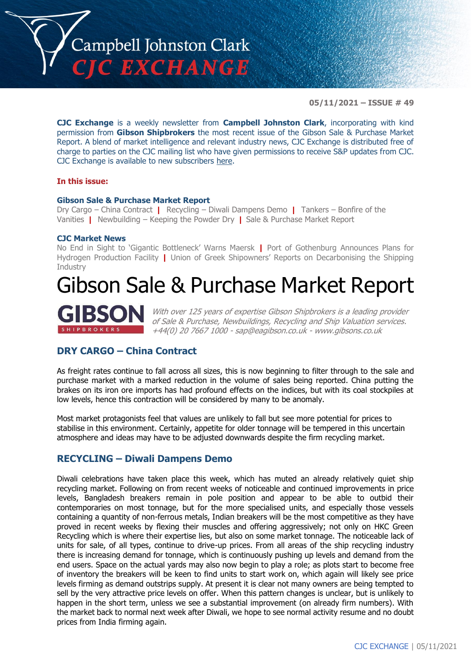

**05/11/2021 – ISSUE # 49**

**CJC Exchange** is a weekly newsletter from **Campbell Johnston Clark**, incorporating with kind permission from **Gibson Shipbrokers** the most recent issue of the Gibson Sale & Purchase Market Report. A blend of market intelligence and relevant industry news, CJC Exchange is distributed free of charge to parties on the CJC mailing list who have given permissions to receive S&P updates from CJC. CJC Exchange is available to new subscribers [here.](mailto:jamesc@cjclaw.com?subject=CJC%20Exchange%20sign-up)

#### **In this issue:**

#### **Gibson Sale & Purchase Market Report**

Dry Cargo – China Contract **|** Recycling – Diwali Dampens Demo **|** Tankers – Bonfire of the Vanities **|** Newbuilding – Keeping the Powder Dry **|** Sale & Purchase Market Report

#### **CJC Market News**

No End in Sight to 'Gigantic Bottleneck' Warns Maersk **|** Port of Gothenburg Announces Plans for Hydrogen Production Facility **|** Union of Greek Shipowners' Reports on Decarbonising the Shipping Industry

# Gibson Sale & Purchase Market Report



With over 125 years of expertise Gibson Shipbrokers is a leading provider of Sale & Purchase, Newbuildings, Recycling and Ship Valuation services. +44(0) 20 7667 1000 - [sap@eagibson.co.uk](mailto:sap@eagibson.co.uk) - [www.gibsons.co.uk](https://protect-eu.mimecast.com/s/VO6nCGZzRS60KqcK1jQh/)

## **DRY CARGO – China Contract**

As freight rates continue to fall across all sizes, this is now beginning to filter through to the sale and purchase market with a marked reduction in the volume of sales being reported. China putting the brakes on its iron ore imports has had profound effects on the indices, but with its coal stockpiles at low levels, hence this contraction will be considered by many to be anomaly.

Most market protagonists feel that values are unlikely to fall but see more potential for prices to stabilise in this environment. Certainly, appetite for older tonnage will be tempered in this uncertain atmosphere and ideas may have to be adjusted downwards despite the firm recycling market.

## **RECYCLING – Diwali Dampens Demo**

Diwali celebrations have taken place this week, which has muted an already relatively quiet ship recycling market. Following on from recent weeks of noticeable and continued improvements in price levels, Bangladesh breakers remain in pole position and appear to be able to outbid their contemporaries on most tonnage, but for the more specialised units, and especially those vessels containing a quantity of non-ferrous metals, Indian breakers will be the most competitive as they have proved in recent weeks by flexing their muscles and offering aggressively; not only on HKC Green Recycling which is where their expertise lies, but also on some market tonnage. The noticeable lack of units for sale, of all types, continue to drive-up prices. From all areas of the ship recycling industry there is increasing demand for tonnage, which is continuously pushing up levels and demand from the end users. Space on the actual yards may also now begin to play a role; as plots start to become free of inventory the breakers will be keen to find units to start work on, which again will likely see price levels firming as demand outstrips supply. At present it is clear not many owners are being tempted to sell by the very attractive price levels on offer. When this pattern changes is unclear, but is unlikely to happen in the short term, unless we see a substantial improvement (on already firm numbers). With the market back to normal next week after Diwali, we hope to see normal activity resume and no doubt prices from India firming again.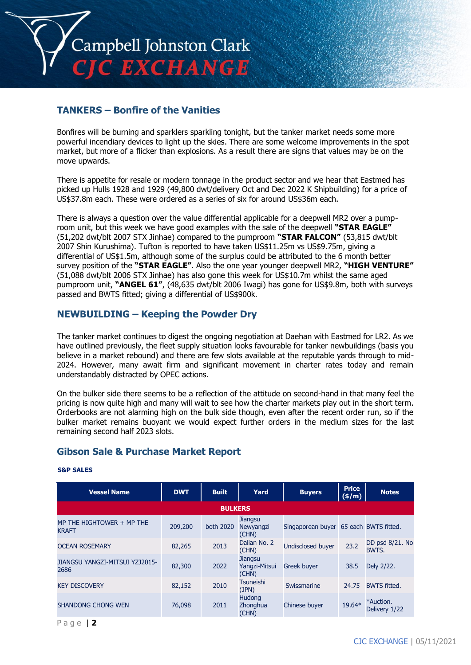

## **TANKERS – Bonfire of the Vanities**

Bonfires will be burning and sparklers sparkling tonight, but the tanker market needs some more powerful incendiary devices to light up the skies. There are some welcome improvements in the spot market, but more of a flicker than explosions. As a result there are signs that values may be on the move upwards.

There is appetite for resale or modern tonnage in the product sector and we hear that Eastmed has picked up Hulls 1928 and 1929 (49,800 dwt/delivery Oct and Dec 2022 K Shipbuilding) for a price of US\$37.8m each. These were ordered as a series of six for around US\$36m each.

There is always a question over the value differential applicable for a deepwell MR2 over a pumproom unit, but this week we have good examples with the sale of the deepwell **"STAR EAGLE"** (51,202 dwt/blt 2007 STX Jinhae) compared to the pumproom **"STAR FALCON"** (53,815 dwt/blt 2007 Shin Kurushima). Tufton is reported to have taken US\$11.25m vs US\$9.75m, giving a differential of US\$1.5m, although some of the surplus could be attributed to the 6 month better survey position of the **"STAR EAGLE"**. Also the one year younger deepwell MR2, **"HIGH VENTURE"** (51,088 dwt/blt 2006 STX Jinhae) has also gone this week for US\$10.7m whilst the same aged pumproom unit, **"ANGEL 61"**, (48,635 dwt/blt 2006 Iwagi) has gone for US\$9.8m, both with surveys passed and BWTS fitted; giving a differential of US\$900k.

## **NEWBUILDING – Keeping the Powder Dry**

The tanker market continues to digest the ongoing negotiation at Daehan with Eastmed for LR2. As we have outlined previously, the fleet supply situation looks favourable for tanker newbuildings (basis you believe in a market rebound) and there are few slots available at the reputable yards through to mid-2024. However, many await firm and significant movement in charter rates today and remain understandably distracted by OPEC actions.

On the bulker side there seems to be a reflection of the attitude on second-hand in that many feel the pricing is now quite high and many will wait to see how the charter markets play out in the short term. Orderbooks are not alarming high on the bulk side though, even after the recent order run, so if the bulker market remains buoyant we would expect further orders in the medium sizes for the last remaining second half 2023 slots.

# **Gibson Sale & Purchase Market Report**

| <b>Vessel Name</b>                        | <b>DWT</b> | <b>Built</b>   | Yard                                     | <b>Buyers</b>                          | <b>Price</b><br>$($ \$/m $)$ | <b>Notes</b>               |
|-------------------------------------------|------------|----------------|------------------------------------------|----------------------------------------|------------------------------|----------------------------|
|                                           |            | <b>BULKERS</b> |                                          |                                        |                              |                            |
| MP THE HIGHTOWER + MP THE<br><b>KRAFT</b> | 209,200    | both 2020      | <b>Jiangsu</b><br>Newyangzi<br>(CHN)     | Singaporean buyer 65 each BWTS fitted. |                              |                            |
| <b>OCEAN ROSEMARY</b>                     | 82,265     | 2013           | Dalian No. 2<br>(CHN)                    | <b>Undisclosed buyer</b>               | 23.2                         | DD psd 8/21. No<br>BWTS.   |
| JIANGSU YANGZI-MITSUI YZJ2015-<br>2686    | 82,300     | 2022           | <b>Jiangsu</b><br>Yangzi-Mitsui<br>(CHN) | <b>Greek buyer</b>                     | 38.5                         | Dely 2/22.                 |
| <b>KEY DISCOVERY</b>                      | 82,152     | 2010           | <b>Tsuneishi</b><br>(JPN)                | Swissmarine                            | 24.75                        | <b>BWTS fitted.</b>        |
| <b>SHANDONG CHONG WEN</b>                 | 76,098     | 2011           | <b>Hudong</b><br>Zhonghua<br>(CHN)       | Chinese buyer                          | 19.64*                       | *Auction.<br>Delivery 1/22 |

#### **S&P SALES**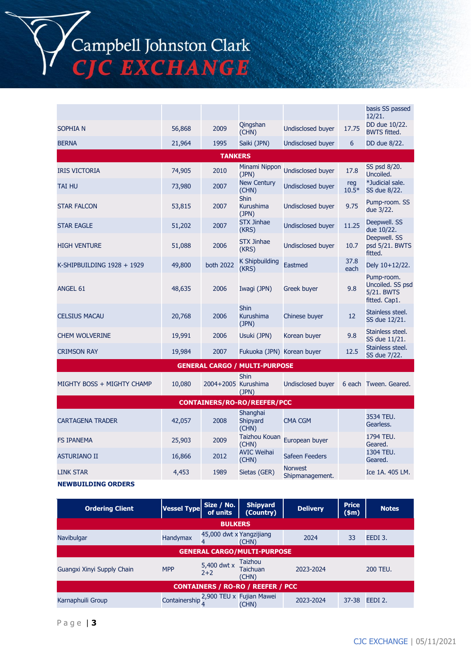Campbell Johnston Clark<br>CJC EXCHANGE

|                                    |        |                     |                                          |                                   |                | basis SS passed<br>12/21.                                     |  |
|------------------------------------|--------|---------------------|------------------------------------------|-----------------------------------|----------------|---------------------------------------------------------------|--|
| <b>SOPHIAN</b>                     | 56,868 | 2009                | Qingshan<br>(CHN)                        | <b>Undisclosed buyer</b>          | 17.75          | DD due 10/22.<br><b>BWTS fitted.</b>                          |  |
| <b>BERNA</b>                       | 21,964 | 1995                | Saiki (JPN)                              | <b>Undisclosed buyer</b>          | 6              | DD due 8/22.                                                  |  |
|                                    |        | <b>TANKERS</b>      |                                          |                                   |                |                                                               |  |
| <b>IRIS VICTORIA</b>               | 74,905 | 2010                | Minami Nippon<br>(JPN)                   | <b>Undisclosed buyer</b>          | 17.8           | SS psd 8/20.<br>Uncoiled.                                     |  |
| <b>TAI HU</b>                      | 73,980 | 2007                | <b>New Century</b><br>(CHN)              | Undisclosed buyer                 | reg<br>$10.5*$ | *Judicial sale.<br>SS due 8/22.                               |  |
| <b>STAR FALCON</b>                 | 53,815 | 2007                | <b>Shin</b><br><b>Kurushima</b><br>(JPN) | <b>Undisclosed buyer</b>          | 9.75           | Pump-room. SS<br>due 3/22.                                    |  |
| <b>STAR EAGLE</b>                  | 51,202 | 2007                | <b>STX Jinhae</b><br>(KRS)               | <b>Undisclosed buyer</b>          | 11.25          | Deepwell. SS<br>due 10/22.                                    |  |
| <b>HIGH VENTURE</b>                | 51,088 | 2006                | <b>STX Jinhae</b><br>(KRS)               | <b>Undisclosed buyer</b>          | 10.7           | Deepwell. SS<br>psd 5/21. BWTS<br>fitted.                     |  |
| K-SHIPBUILDING 1928 + 1929         | 49,800 | both 2022           | <b>K Shipbuilding</b><br>(KRS)           | Eastmed                           | 37.8<br>each   | Dely 10+12/22.                                                |  |
| ANGEL 61                           | 48,635 | 2006                | Iwagi (JPN)                              | Greek buyer                       | 9.8            | Pump-room.<br>Uncoiled. SS psd<br>5/21. BWTS<br>fitted. Cap1. |  |
| <b>CELSIUS MACAU</b>               | 20,768 | 2006                | <b>Shin</b><br>Kurushima<br>(JPN)        | Chinese buyer                     | 12             | Stainless steel.<br>SS due 12/21.                             |  |
| <b>CHEM WOLVERINE</b>              | 19,991 | 2006                | Usuki (JPN)                              | Korean buyer                      | 9.8            | Stainless steel.<br>SS due 11/21.                             |  |
| <b>CRIMSON RAY</b>                 | 19,984 | 2007                | Fukuoka (JPN) Korean buyer               |                                   | 12.5           | Stainless steel.<br>SS due 7/22.                              |  |
|                                    |        |                     | <b>GENERAL CARGO / MULTI-PURPOSE</b>     |                                   |                |                                                               |  |
| MIGHTY BOSS + MIGHTY CHAMP         | 10,080 | 2004+2005 Kurushima | <b>Shin</b><br>(JPN)                     | <b>Undisclosed buyer</b>          |                | 6 each Tween. Geared.                                         |  |
| <b>CONTAINERS/RO-RO/REEFER/PCC</b> |        |                     |                                          |                                   |                |                                                               |  |
| <b>CARTAGENA TRADER</b>            | 42,057 | 2008                | Shanghai<br>Shipyard<br>(CHN)            | CMA CGM                           |                | 3534 TEU.<br>Gearless.                                        |  |
| <b>FS IPANEMA</b>                  | 25,903 | 2009                | Taizhou Kouan<br>(CHN)                   | European buyer                    |                | 1794 TEU.<br>Geared.                                          |  |
| <b>ASTURIANO II</b>                | 16,866 | 2012                | <b>AVIC Weihai</b><br>(CHN)              | <b>Safeen Feeders</b>             |                | 1304 TEU.<br>Geared.                                          |  |
| <b>LINK STAR</b>                   | 4,453  | 1989                | Sietas (GER)                             | <b>Norwest</b><br>Shipmanagement. |                | Ice 1A, 405 LM,                                               |  |

### **NEWBUILDING ORDERS**

| <b>Ordering Client</b>                   | <b>Vessel Type</b> | Size / No.<br>of units        | <b>Shipyard</b><br>(Country)                    | <b>Delivery</b> | <b>Price</b><br>\$m\$ | <b>Notes</b>        |
|------------------------------------------|--------------------|-------------------------------|-------------------------------------------------|-----------------|-----------------------|---------------------|
|                                          |                    | <b>BULKERS</b>                |                                                 |                 |                       |                     |
| Navibulgar                               | Handymax           | 45,000 dwt x Yangzijiang<br>4 | (CHN)                                           | 2024            | 33                    | EEDI 3.             |
| <b>GENERAL CARGO/MULTI-PURPOSE</b>       |                    |                               |                                                 |                 |                       |                     |
| Guangxi Xinyi Supply Chain               | <b>MPP</b>         | 5,400 dwt x<br>$2+2$          | <b>Taizhou</b><br><b>Taichuan</b><br>(CHN)      | 2023-2024       |                       | <b>200 TEU.</b>     |
| <b>CONTAINERS / RO-RO / REEFER / PCC</b> |                    |                               |                                                 |                 |                       |                     |
| Karnaphuili Group                        |                    |                               | Containership 2,900 TEU x Fujian Mawei<br>(CHN) | 2023-2024       | $37 - 38$             | EEDI <sub>2</sub> . |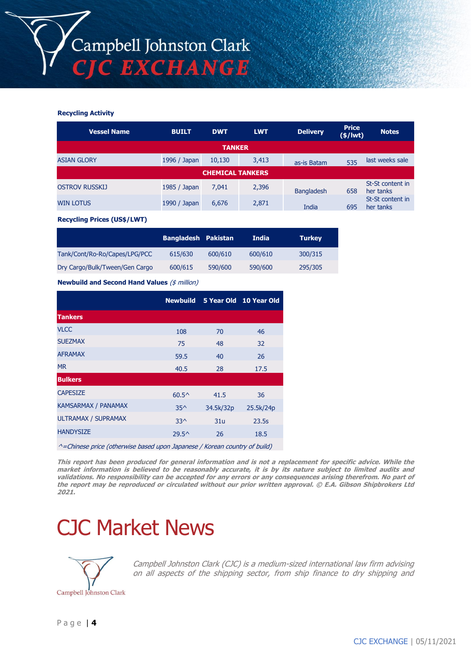#### **Recycling Activity**

| <b>Vessel Name</b>      | <b>BUILT</b> | <b>DWT</b>    | <b>LWT</b> | <b>Delivery</b>   | <b>Price</b><br>$(*)$ lwt $)$ | <b>Notes</b>                  |  |
|-------------------------|--------------|---------------|------------|-------------------|-------------------------------|-------------------------------|--|
|                         |              | <b>TANKER</b> |            |                   |                               |                               |  |
| <b>ASIAN GLORY</b>      | 1996 / Japan | 10,130        | 3,413      | as-is Batam       | 535                           | last weeks sale               |  |
| <b>CHEMICAL TANKERS</b> |              |               |            |                   |                               |                               |  |
| <b>OSTROV RUSSKIJ</b>   | 1985 / Japan | 7,041         | 2,396      | <b>Bangladesh</b> | 658                           | St-St content in<br>her tanks |  |
| <b>WIN LOTUS</b>        | 1990 / Japan | 6,676         | 2,871      | India             | 695                           | St-St content in<br>her tanks |  |

**Recycling Prices (US\$/LWT)**

|                                | <b>Bangladesh Pakistan</b> |         | India   | <b>Turkey</b> |
|--------------------------------|----------------------------|---------|---------|---------------|
| Tank/Cont/Ro-Ro/Capes/LPG/PCC  | 615/630                    | 600/610 | 600/610 | 300/315       |
| Dry Cargo/Bulk/Tween/Gen Cargo | 600/615                    | 590/600 | 590/600 | 295/305       |

**Newbuild and Second Hand Values** (\$ million)

|                                                                            |                |           | Newbuild 5 Year Old 10 Year Old |
|----------------------------------------------------------------------------|----------------|-----------|---------------------------------|
| <b>Tankers</b>                                                             |                |           |                                 |
| <b>VLCC</b>                                                                | 108            | 70        | 46                              |
| <b>SUEZMAX</b>                                                             | 75             | 48        | 32                              |
| <b>AFRAMAX</b>                                                             | 59.5           | 40        | 26                              |
| <b>MR</b>                                                                  | 40.5           | 28        | 17.5                            |
| <b>Bulkers</b>                                                             |                |           |                                 |
| <b>CAPESIZE</b>                                                            | $60.5^{\circ}$ | 41.5      | 36                              |
| <b>KAMSARMAX / PANAMAX</b>                                                 | $35^{\wedge}$  | 34.5k/32p | 25.5k/24p                       |
| <b>ULTRAMAX / SUPRAMAX</b>                                                 | $33^$          | 31u       | 23.5s                           |
| <b>HANDYSIZE</b>                                                           | $29.5^{\circ}$ | 26        | 18.5                            |
| A Chinana putan Cathany is have demon Tananana UKanana assurting of hyild) |                |           |                                 |

^=Chinese price (otherwise based upon Japanese / Korean country of build)

**This report has been produced for general information and is not a replacement for specific advice. While the market information is believed to be reasonably accurate, it is by its nature subject to limited audits and validations. No responsibility can be accepted for any errors or any consequences arising therefrom. No part of the report may be reproduced or circulated without our prior written approval. © E.A. Gibson Shipbrokers Ltd 2021.**

# CJC Market News



Campbell Johnston Clark (CJC) is a medium-sized international law firm advising on all aspects of the shipping sector, from ship finance to dry shipping and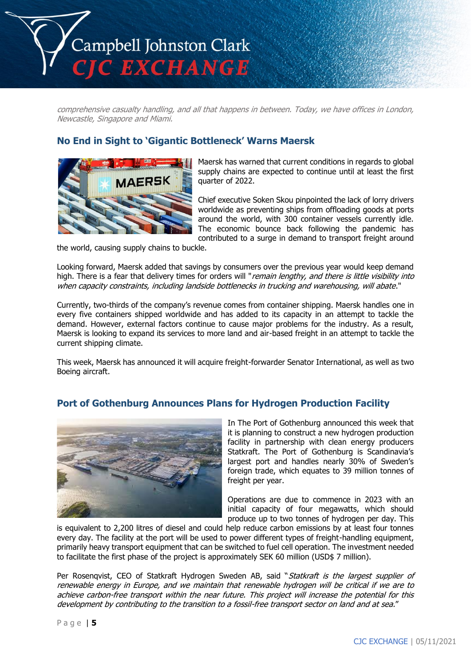

comprehensive casualty handling, and all that happens in between. Today, we have offices in London, Newcastle, Singapore and Miami.

## **No End in Sight to 'Gigantic Bottleneck' Warns Maersk**



Maersk has warned that current conditions in regards to global supply chains are expected to continue until at least the first quarter of 2022.

Chief executive Soken Skou pinpointed the lack of lorry drivers worldwide as preventing ships from offloading goods at ports around the world, with 300 container vessels currently idle. The economic bounce back following the pandemic has contributed to a surge in demand to transport freight around

the world, causing supply chains to buckle.

Looking forward, Maersk added that savings by consumers over the previous year would keep demand high. There is a fear that delivery times for orders will "remain lengthy, and there is little visibility into when capacity constraints, including landside bottlenecks in trucking and warehousing, will abate."

Currently, two-thirds of the company's revenue comes from container shipping. Maersk handles one in every five containers shipped worldwide and has added to its capacity in an attempt to tackle the demand. However, external factors continue to cause major problems for the industry. As a result, Maersk is looking to expand its services to more land and air-based freight in an attempt to tackle the current shipping climate.

This week, Maersk has announced it will acquire freight-forwarder Senator International, as well as two Boeing aircraft.

## **Port of Gothenburg Announces Plans for Hydrogen Production Facility**



In The Port of Gothenburg announced this week that it is planning to construct a new hydrogen production facility in partnership with clean energy producers Statkraft. The Port of Gothenburg is Scandinavia's largest port and handles nearly 30% of Sweden's foreign trade, which equates to 39 million tonnes of freight per year.

Operations are due to commence in 2023 with an initial capacity of four megawatts, which should produce up to two tonnes of hydrogen per day. This

is equivalent to 2,200 litres of diesel and could help reduce carbon emissions by at least four tonnes every day. The facility at the port will be used to power different types of freight-handling equipment, primarily heavy transport equipment that can be switched to fuel cell operation. The investment needed to facilitate the first phase of the project is approximately SEK 60 million (USD\$ 7 million).

Per Rosenqvist, CEO of Statkraft Hydrogen Sweden AB, said "Statkraft is the largest supplier of renewable energy in Europe, and we maintain that renewable hydrogen will be critical if we are to achieve carbon-free transport within the near future. This project will increase the potential for this development by contributing to the transition to a fossil-free transport sector on land and at sea."